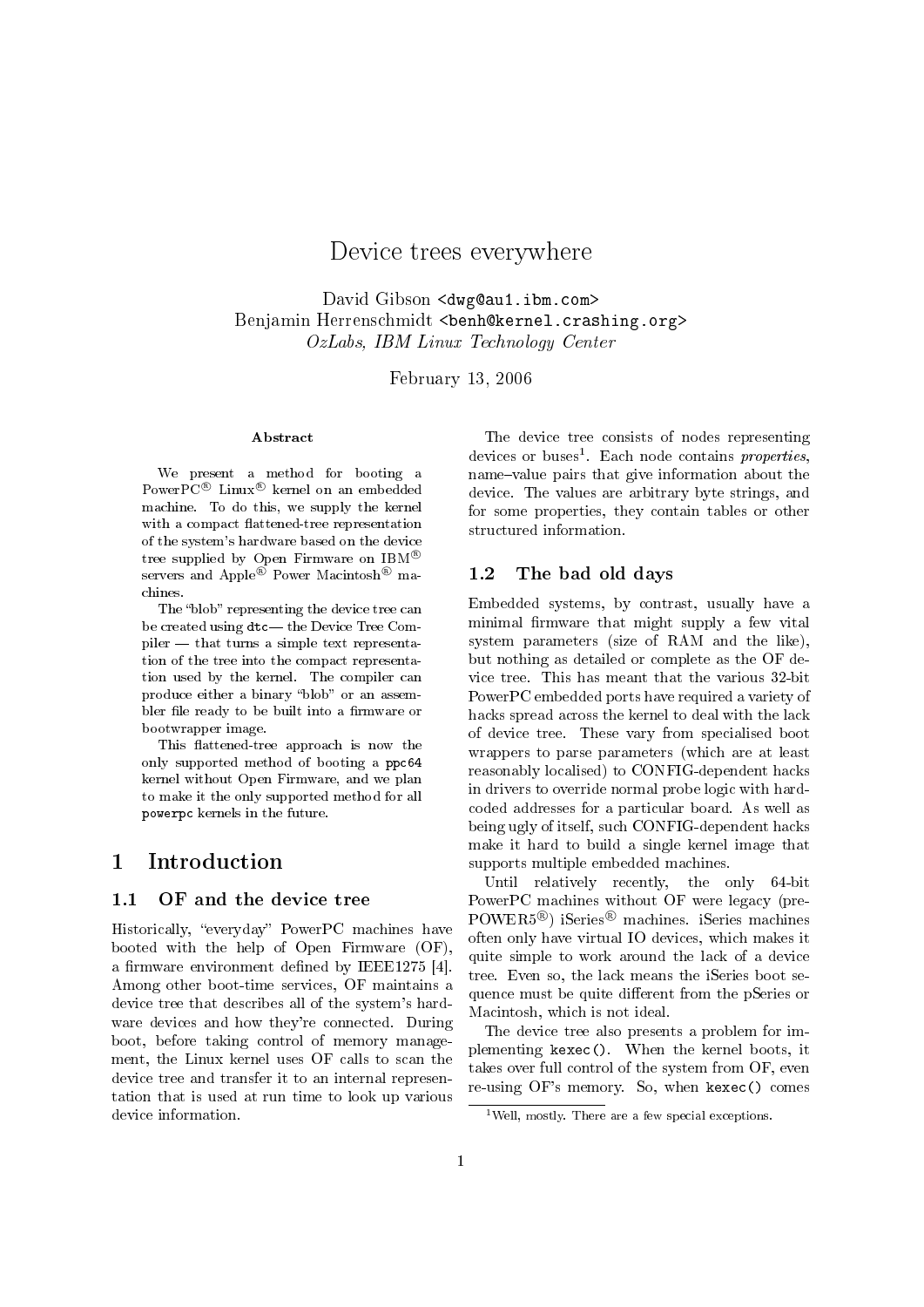# Device trees everywhere

David Gibson <dwg@au1.ibm.com> Benjamin Herrenschmidt <benh@kernel.crashing.org> OzLabs, IBM Linux Technology Center

February 13, 2006

#### Abstract

We present a method for booting a PowerPC<sup>®</sup> Linux<sup>®</sup> kernel on an embedded machine. To do this, we supply the kernel with a compact flattened-tree representation of the system's hardware based on the device tree supplied by Open Firmware on  $IBM^{\circledR}$ servers and Apple<sup>®</sup> Power Macintosh<sup>®</sup> machines.

The "blob" representing the device tree can be created using  $dt$ c— the Device Tree Com $pi$ -that turns a simple text representation of the tree into the compact representation used by the kernel. The compiler can produce either a binary "blob" or an assembler file ready to be built into a firmware or bootwrapper image.

This flattened-tree approach is now the only supported method of booting a ppc64 kernel without Open Firmware, and we plan to make it the only supported method for all powerpc kernels in the future.

### 1 Introduction

#### 1.1 OF and the device tree

Historically, "everyday" PowerPC machines have booted with the help of Open Firmware (OF), a firmware environment defined by IEEE1275 [4]. Among other boot-time services, OF maintains a device tree that describes all of the system's hardware devices and how they're connected. During boot, before taking control of memory management, the Linux kernel uses OF calls to scan the device tree and transfer it to an internal representation that is used at run time to look up various device information.

The device tree consists of nodes representing devices or buses<sup>1</sup>. Each node contains properties, name-value pairs that give information about the device. The values are arbitrary byte strings, and for some properties, they contain tables or other structured information.

#### 1.2 The bad old days

Embedded systems, by contrast, usually have a minimal firmware that might supply a few vital system parameters (size of RAM and the like), but nothing as detailed or complete as the OF device tree. This has meant that the various 32-bit PowerPC embedded ports have required a variety of hacks spread across the kernel to deal with the lack of device tree. These vary from specialised boot wrappers to parse parameters (which are at least reasonably localised) to CONFIG-dependent hacks in drivers to override normal probe logic with hardcoded addresses for a particular board. As well as being ugly of itself, such CONFIG-dependent hacks make it hard to build a single kernel image that supports multiple embedded machines.

Until relatively recently, the only 64-bit PowerPC machines without OF were legacy (pre-POWER5<sup>®</sup>) iSeries<sup>®</sup> machines. iSeries machines often only have virtual IO devices, which makes it quite simple to work around the lack of a device tree. Even so, the lack means the iSeries boot sequence must be quite different from the pSeries or Macintosh, which is not ideal.

The device tree also presents a problem for implementing kexec(). When the kernel boots, it takes over full control of the system from OF, even re-using OF's memory. So, when kexec() comes

<sup>&</sup>lt;sup>1</sup>Well, mostly. There are a few special exceptions.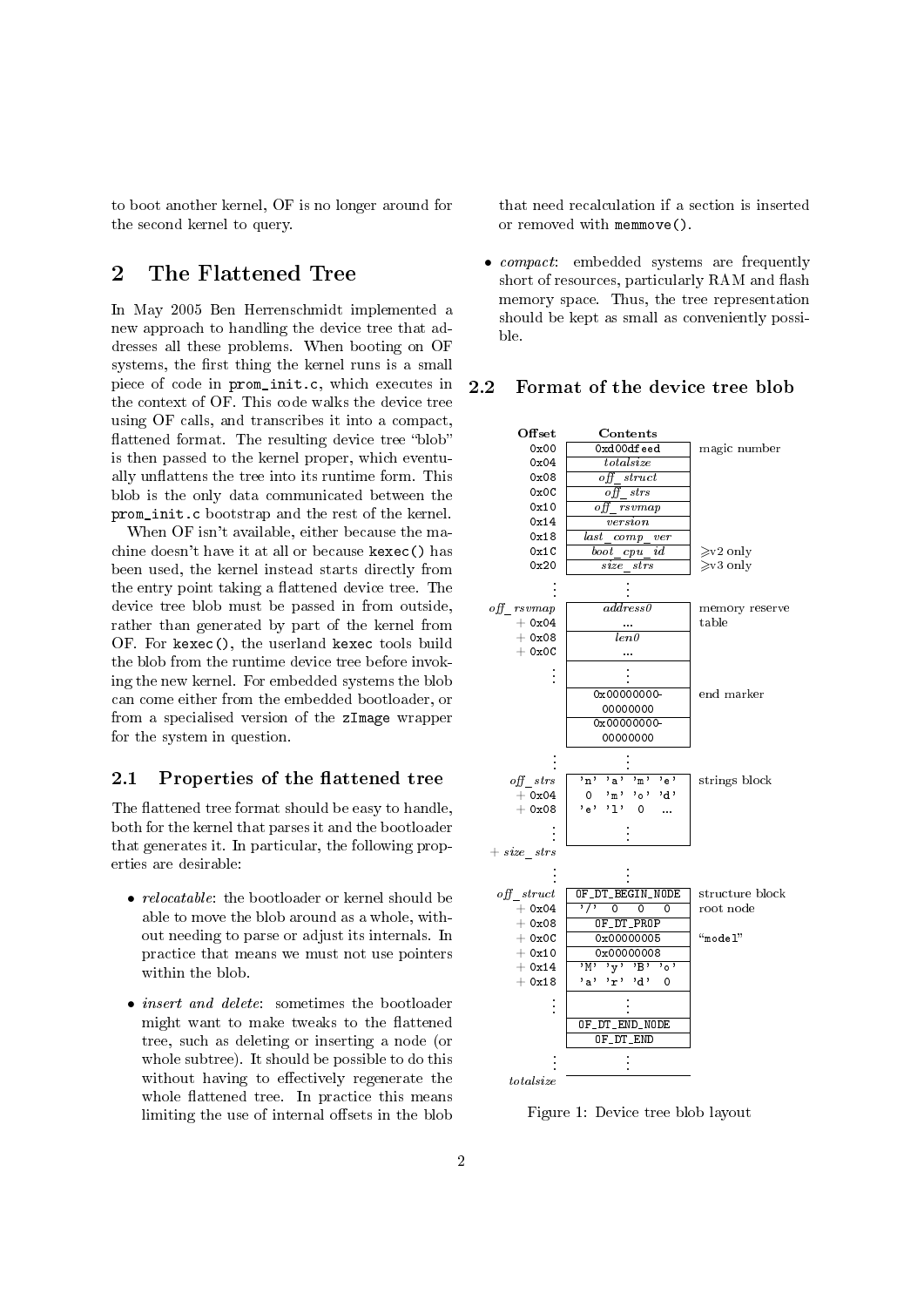to boot another kernel, OF is no longer around for the second kernel to query.

## 2 The Flattened Tree

In May 2005 Ben Herrenschmidt implemented a new approach to handling the device tree that addresses all these problems. When booting on OF systems, the first thing the kernel runs is a small piece of code in prom\_init.c, which executes in the context of OF. This code walks the device tree using OF calls, and transcribes it into a compact, flattened format. The resulting device tree "blob" is then passed to the kernel proper, which eventually unflattens the tree into its runtime form. This blob is the only data communicated between the prom\_init.c bootstrap and the rest of the kernel.

When OF isn't available, either because the machine doesn't have it at all or because kexec() has been used, the kernel instead starts directly from the entry point taking a flattened device tree. The device tree blob must be passed in from outside, rather than generated by part of the kernel from OF. For kexec(), the userland kexec tools build the blob from the runtime device tree before invoking the new kernel. For embedded systems the blob can come either from the embedded bootloader, or from a specialised version of the zImage wrapper for the system in question.

### 2.1 Properties of the flattened tree

The flattened tree format should be easy to handle, both for the kernel that parses it and the bootloader that generates it. In particular, the following properties are desirable:

- *relocatable*: the bootloader or kernel should be able to move the blob around as a whole, without needing to parse or adjust its internals. In practice that means we must not use pointers within the blob.
- insert and delete: sometimes the bootloader might want to make tweaks to the flattened tree, such as deleting or inserting a node (or whole subtree). It should be possible to do this without having to effectively regenerate the whole flattened tree. In practice this means limiting the use of internal offsets in the blob

that need recalculation if a section is inserted or removed with memmove().

• compact: embedded systems are frequently short of resources, particularly RAM and flash memory space. Thus, the tree representation should be kept as small as conveniently possible.

#### 2.2 Format of the device tree blob



Figure 1: Device tree blob layout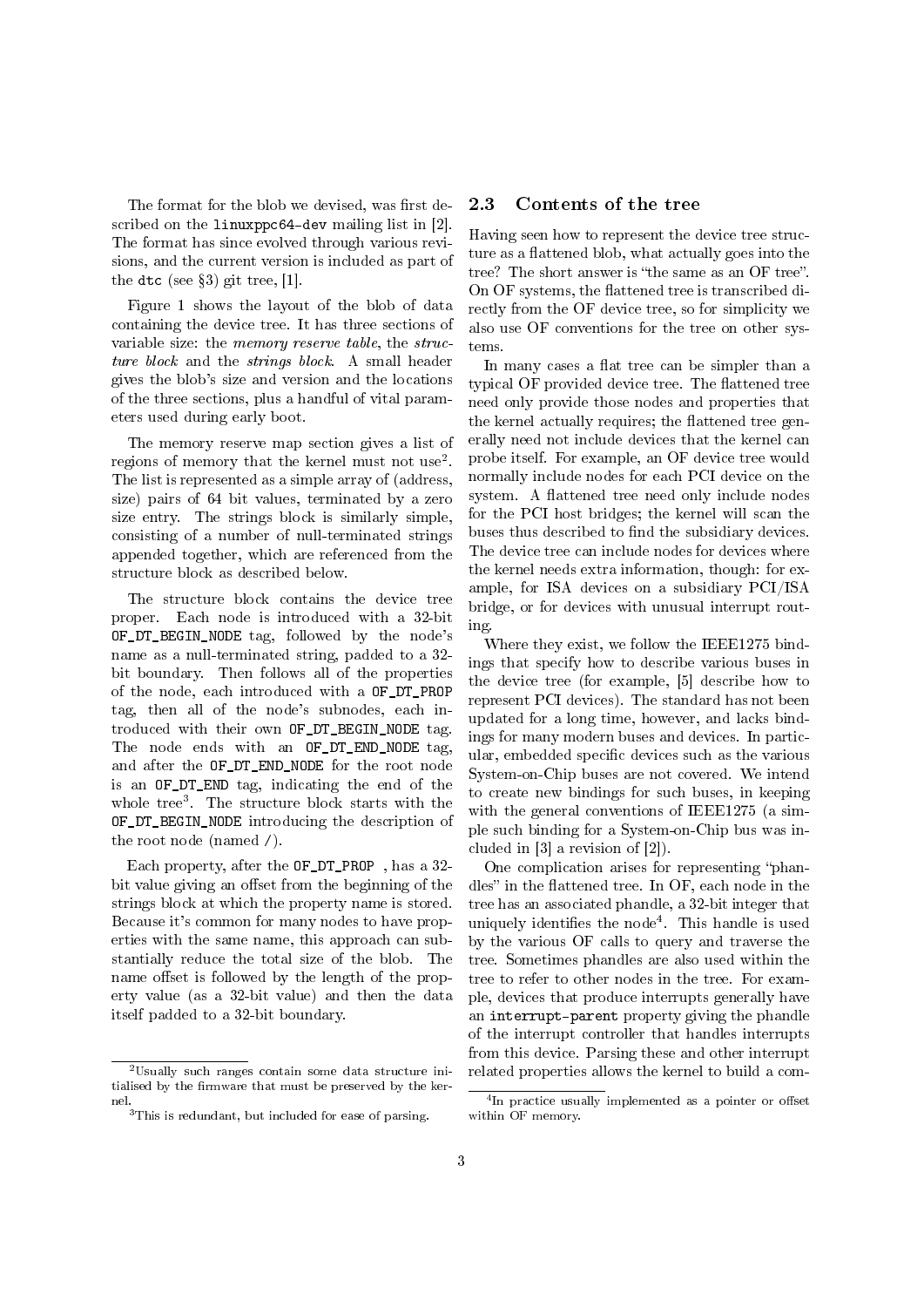The format for the blob we devised, was first described on the linuxppc64-dev mailing list in [2]. The format has since evolved through various revisions, and the current version is included as part of the dtc (see  $\S 3$ ) git tree, [1].

Figure 1 shows the layout of the blob of data containing the device tree. It has three sections of variable size: the memory reserve table, the structure block and the strings block. A small header gives the blob's size and version and the locations of the three sections, plus a handful of vital parameters used during early boot.

The memory reserve map section gives a list of regions of memory that the kernel must not use<sup>2</sup>. The list is represented as a simple array of (address, size) pairs of 64 bit values, terminated by a zero size entry. The strings block is similarly simple, consisting of a number of null-terminated strings appended together, which are referenced from the structure block as described below.

The structure block contains the device tree proper. Each node is introduced with a 32-bit OF\_DT\_BEGIN\_NODE tag, followed by the node's name as a null-terminated string, padded to a 32 bit boundary. Then follows all of the properties of the node, each introduced with a OF\_DT\_PROP tag, then all of the node's subnodes, each introduced with their own OF\_DT\_BEGIN\_NODE tag. The node ends with an OF\_DT\_END\_NODE tag, and after the OF\_DT\_END\_NODE for the root node is an OF\_DT\_END tag, indicating the end of the whole tree<sup>3</sup> . The structure block starts with the OF\_DT\_BEGIN\_NODE introducing the description of the root node (named /).

Each property, after the OF\_DT\_PROP , has a 32 bit value giving an offset from the beginning of the strings block at which the property name is stored. Because it's common for many nodes to have properties with the same name, this approach can substantially reduce the total size of the blob. The name offset is followed by the length of the property value (as a 32-bit value) and then the data itself padded to a 32-bit boundary.

#### 2.3 Contents of the tree

Having seen how to represent the device tree structure as a flattened blob, what actually goes into the tree? The short answer is "the same as an OF tree". On OF systems, the flattened tree is transcribed directly from the OF device tree, so for simplicity we also use OF conventions for the tree on other systems.

In many cases a flat tree can be simpler than a typical OF provided device tree. The flattened tree need only provide those nodes and properties that the kernel actually requires; the flattened tree generally need not include devices that the kernel can probe itself. For example, an OF device tree would normally include nodes for each PCI device on the system. A flattened tree need only include nodes for the PCI host bridges; the kernel will scan the buses thus described to find the subsidiary devices. The device tree can include nodes for devices where the kernel needs extra information, though: for example, for ISA devices on a subsidiary PCI/ISA bridge, or for devices with unusual interrupt routing.

Where they exist, we follow the IEEE1275 bindings that specify how to describe various buses in the device tree (for example, [5] describe how to represent PCI devices). The standard has not been updated for a long time, however, and lacks bindings for many modern buses and devices. In particular, embedded specific devices such as the various System-on-Chip buses are not covered. We intend to create new bindings for such buses, in keeping with the general conventions of IEEE1275 (a simple such binding for a System-on-Chip bus was included in [3] a revision of [2]).

One complication arises for representing "phandles" in the flattened tree. In OF, each node in the tree has an associated phandle, a 32-bit integer that uniquely identifies the node<sup>4</sup>. This handle is used by the various OF calls to query and traverse the tree. Sometimes phandles are also used within the tree to refer to other nodes in the tree. For example, devices that produce interrupts generally have an interrupt-parent property giving the phandle of the interrupt controller that handles interrupts from this device. Parsing these and other interrupt related properties allows the kernel to build a com-

 $2$ Usually such ranges contain some data structure initialised by the firmware that must be preserved by the kernel.

<sup>3</sup>This is redundant, but included for ease of parsing.

<sup>&</sup>lt;sup>4</sup>In practice usually implemented as a pointer or offset within OF memory.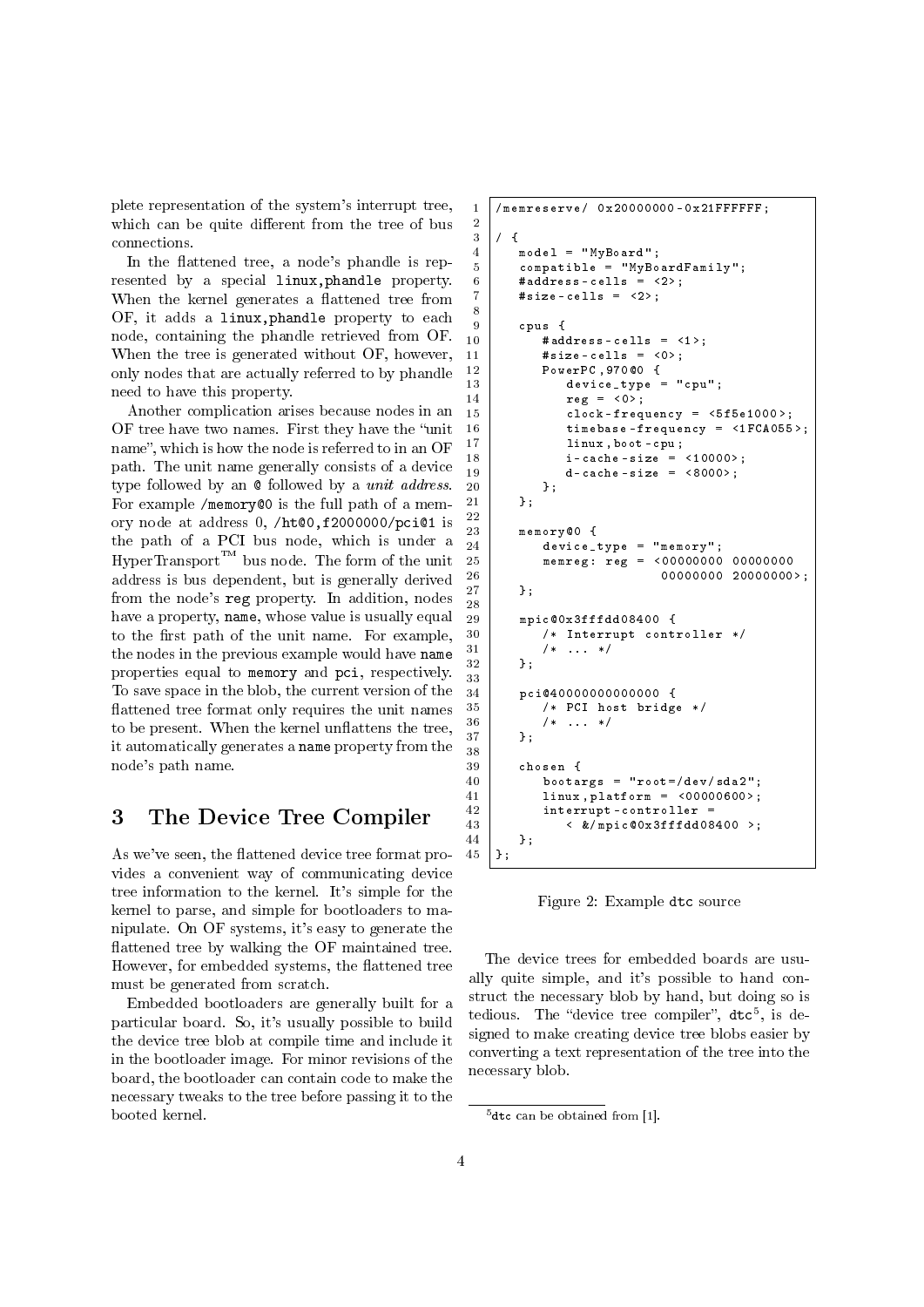plete representation of the system's interrupt tree, which can be quite different from the tree of bus connections.

2

8

22

 $rac{28}{29}$ 

33

38

In the flattened tree, a node's phandle is represented by a special linux,phandle property. When the kernel generates a flattened tree from OF, it adds a linux,phandle property to each node, containing the phandle retrieved from OF. When the tree is generated without OF, however, only nodes that are actually referred to by phandle need to have this property.

Another complication arises because nodes in an OF tree have two names. First they have the "unit" name", which is how the node is referred to in an OF path. The unit name generally consists of a device type followed by an @ followed by a unit address. For example /memory@0 is the full path of a memory node at address 0, /ht@0,f2000000/pci@1 is the path of a PCI bus node, which is under a  $HyperTransform^{\mathcal{TM}}$  bus node. The form of the unit address is bus dependent, but is generally derived from the node's reg property. In addition, nodes have a property, name, whose value is usually equal to the first path of the unit name. For example, the nodes in the previous example would have name properties equal to memory and pci, respectively. To save space in the blob, the current version of the flattened tree format only requires the unit names to be present. When the kernel unflattens the tree, it automatically generates a name property from the node's path name.

### 3 The Device Tree Compiler

As we've seen, the flattened device tree format provides a convenient way of communicating device tree information to the kernel. It's simple for the kernel to parse, and simple for bootloaders to manipulate. On OF systems, it's easy to generate the attened tree by walking the OF maintained tree. However, for embedded systems, the flattened tree must be generated from scratch.

Embedded bootloaders are generally built for a particular board. So, it's usually possible to build the device tree blob at compile time and include it in the bootloader image. For minor revisions of the board, the bootloader can contain code to make the necessary tweaks to the tree before passing it to the booted kernel.

```
1 | / memreserve / 0 x 20000000 - 0 x 21 FFFFFF;
 \begin{array}{c} 3 \\ 4 \end{array} / {
            4 model = " MyBoard ";
 5 compatible = "MyBoardFamily";
 6 # address - cells = \langle 2 \rangle;<br>7 # size - cells = \langle 2 \rangle:
           #size - cells = <2>;
\begin{array}{c|c}\n9 & \text{cpus } \{ \\
10 & \text{4ad}\n\end{array}# address - cells = \langle 1 \rangle;
11 \parallel \qquad #size-cells = <0>;
\begin{array}{c|c} 12 & \text{PowerPC, } 970@0 & \text{f} \\ 13 & \text{device type} \end{array}device_type = "cpu";\begin{array}{c|c}\n 14 \\
 15\n \end{array} reg = <0>;<br>
clock-freq
                      clock - frequency = \langle 5f5e1000 \rangle;
16 timebase - frequency = \langle1FCA055>;
17 linux, boot - cpu;
18 i-cache-size = <10000>;
19 \vert d-cache-size = <8000>;
20 };
21 \quad \rightarrow \quad\begin{array}{c|c} 23 \\ 24 \end{array} memory 00 {
                 24 device_type = " memory ";
25 memreg : reg = <00000000 00000000
26 00000000 20000000 >;
27 };
            29 mpic@0x3fffdd08400 {
30 /* Interrupt controller */
31 /* */
32 };
34 pci@4000000000000000 {<br>35 /* PCI host bridge
                 35 /* PCI host bridge */
\begin{array}{c|c}\n 36 \\
 37 \\
 \end{array} /* ... */
           \rightarrow:
39 chosen {
40 \vert bootargs = "root=/dev/sda2";
41 linux, platform = \langle 00000600 \rangle;<br>42 interrupt-controller =
                 interrupt - controller =
43 <br>
44 <br>
+ <br>
+ <br>
+ <br>
+ <br>
+ <br>
+ <br>
+ <br>
+ <br>
+ <br>
+ <br>
+ <br>
+ <br>
+ <br>
+ <br>
+ <br>
+ <br>
+ <br>
+ <br>
+ <br>
+ <br>
+ <br>
+ <br>
+ <br>
+ <br><br><br><br><br><br><br><br><br><br><br>
\begin{array}{c|c} 44 & , 3; \\ 45 & , 1; \end{array}\vert } ;
```
Figure 2: Example dtc source

The device trees for embedded boards are usually quite simple, and it's possible to hand construct the necessary blob by hand, but doing so is tedious. The "device tree compiler",  $dt c^5$ , is designed to make creating device tree blobs easier by converting a text representation of the tree into the necessary blob.

 $5$ dtc can be obtained from [1].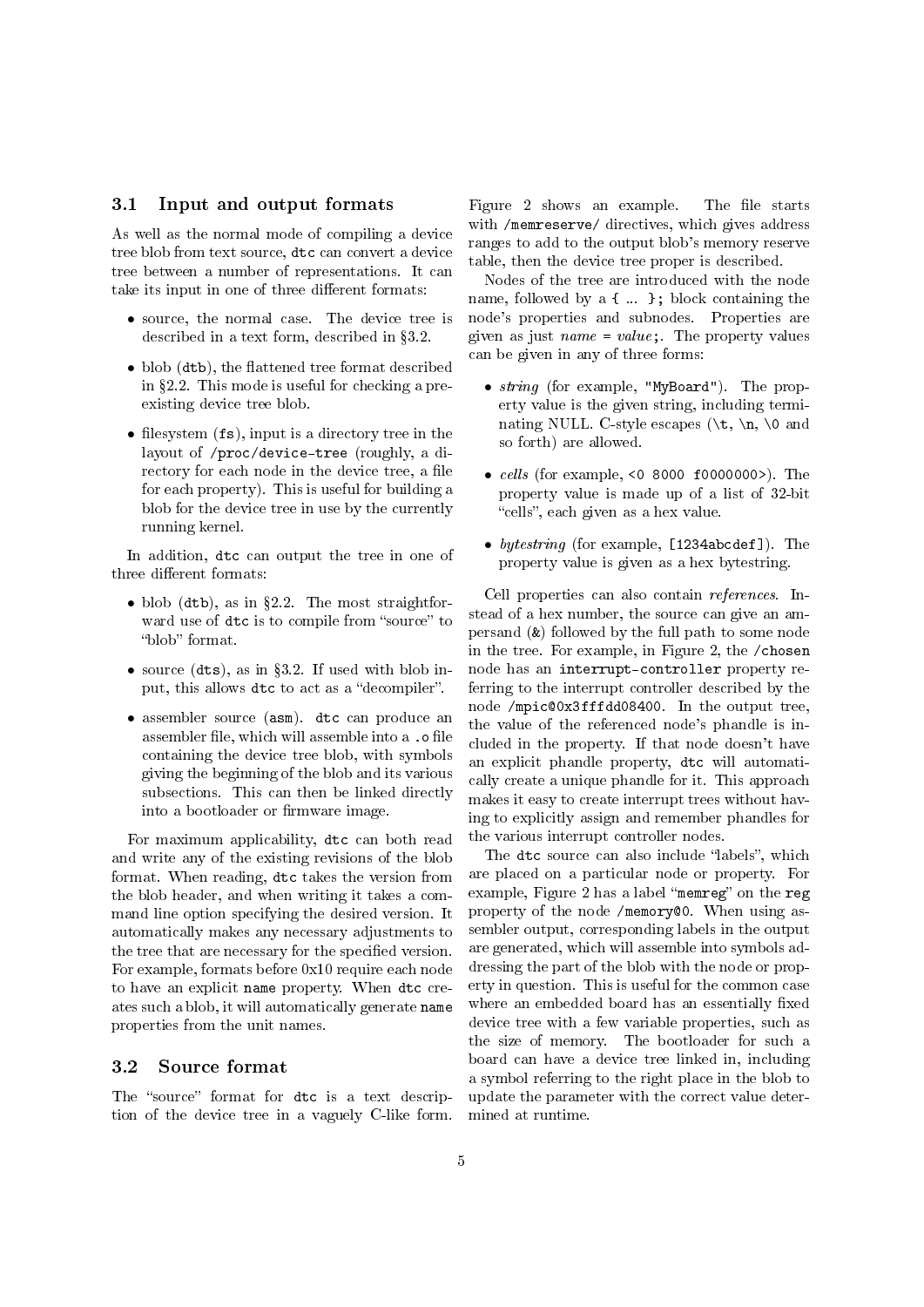#### 3.1 Input and output formats

As well as the normal mode of compiling a device tree blob from text source, dtc can convert a device tree between a number of representations. It can take its input in one of three different formats:

- source, the normal case. The device tree is described in a text form, described in §3.2.
- $\bullet$  blob (dtb), the flattened tree format described in §2.2. This mode is useful for checking a preexisting device tree blob.
- filesystem  $(fs)$ , input is a directory tree in the layout of /proc/device-tree (roughly, a directory for each node in the device tree, a file for each property). This is useful for building a blob for the device tree in use by the currently running kernel.

In addition, dtc can output the tree in one of three different formats:

- blob (dtb), as in  $\S 2.2$ . The most straightforward use of dtc is to compile from "source" to "blob" format.
- source  $(dts)$ , as in §3.2. If used with blob input, this allows dtc to act as a "decompiler".
- assembler source (asm). dtc can produce an assembler file, which will assemble into a .o file containing the device tree blob, with symbols giving the beginning of the blob and its various subsections. This can then be linked directly into a bootloader or firmware image.

For maximum applicability, dtc can both read and write any of the existing revisions of the blob format. When reading, dtc takes the version from the blob header, and when writing it takes a command line option specifying the desired version. It automatically makes any necessary adjustments to the tree that are necessary for the specified version. For example, formats before 0x10 require each node to have an explicit name property. When dtc creates such a blob, it will automatically generate name properties from the unit names.

#### 3.2 Source format

The "source" format for dtc is a text description of the device tree in a vaguely C-like form.

Figure 2 shows an example. The file starts with /memreserve/ directives, which gives address ranges to add to the output blob's memory reserve table, then the device tree proper is described.

Nodes of the tree are introduced with the node name, followed by a { ... }; block containing the node's properties and subnodes. Properties are given as just  $name = value$ ; The property values can be given in any of three forms:

- *string* (for example, "MyBoard"). The property value is the given string, including terminating NULL. C-style escapes ( $\t\$ ,  $\n\$ o and so forth) are allowed.
- *cells* (for example, <0 8000 f00000000>). The property value is made up of a list of 32-bit "cells", each given as a hex value.
- bytestring (for example, [1234abcdef]). The property value is given as a hex bytestring.

Cell properties can also contain references. Instead of a hex number, the source can give an ampersand (&) followed by the full path to some node in the tree. For example, in Figure 2, the /chosen node has an interrupt-controller property referring to the interrupt controller described by the node /mpic@0x3fffdd08400. In the output tree, the value of the referenced node's phandle is included in the property. If that node doesn't have an explicit phandle property, dtc will automatically create a unique phandle for it. This approach makes it easy to create interrupt trees without having to explicitly assign and remember phandles for the various interrupt controller nodes.

The dtc source can also include "labels", which are placed on a particular node or property. For example, Figure 2 has a label "memreg" on the reg property of the node /memory@0. When using assembler output, corresponding labels in the output are generated, which will assemble into symbols addressing the part of the blob with the node or property in question. This is useful for the common case where an embedded board has an essentially fixed device tree with a few variable properties, such as the size of memory. The bootloader for such a board can have a device tree linked in, including a symbol referring to the right place in the blob to update the parameter with the correct value determined at runtime.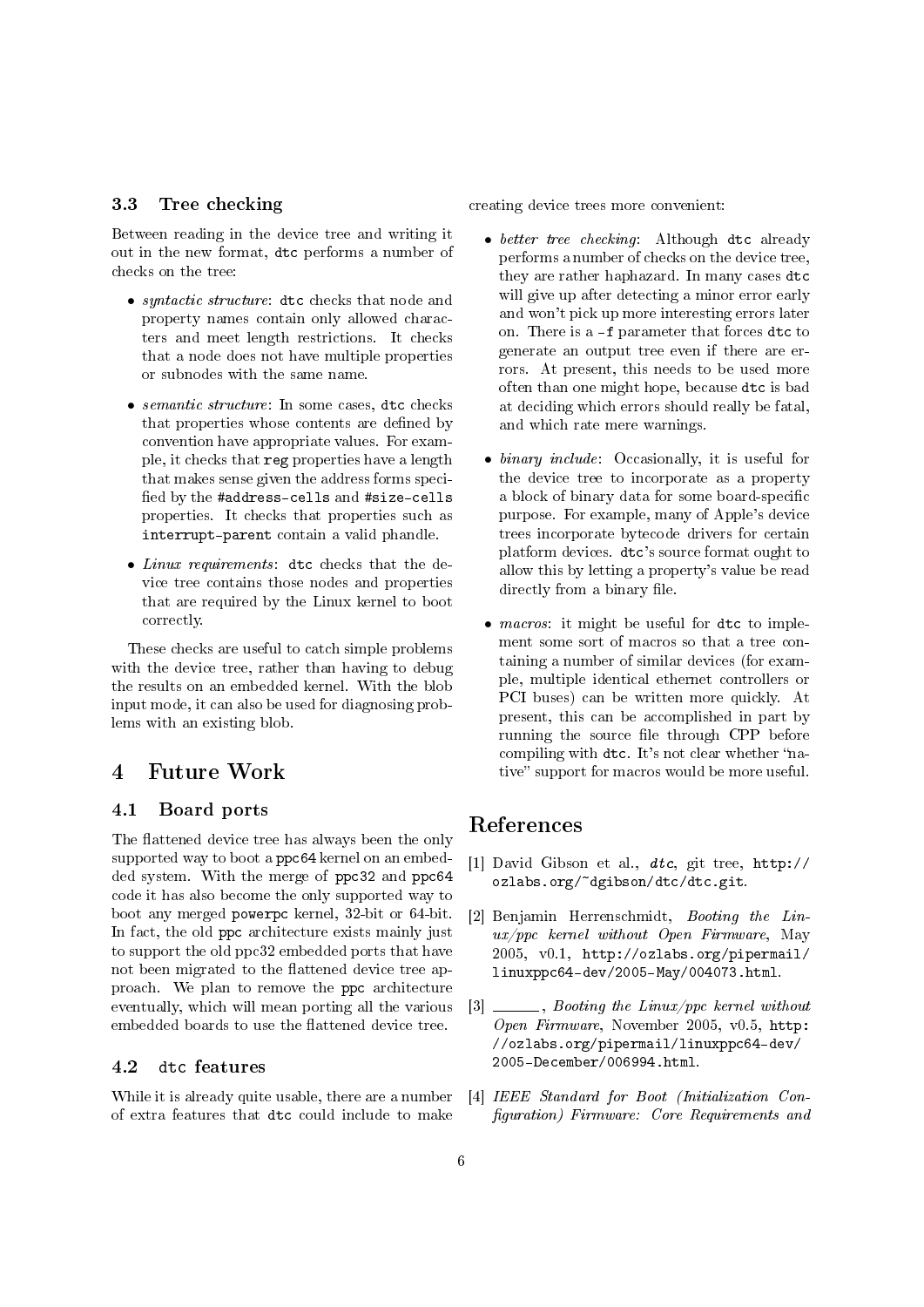#### 3.3 Tree checking

Between reading in the device tree and writing it out in the new format, dtc performs a number of checks on the tree:

- syntactic structure: dtc checks that node and property names contain only allowed characters and meet length restrictions. It checks that a node does not have multiple properties or subnodes with the same name.
- semantic structure: In some cases, dtc checks that properties whose contents are defined by convention have appropriate values. For example, it checks that reg properties have a length that makes sense given the address forms speci fied by the #address-cells and #size-cells properties. It checks that properties such as interrupt-parent contain a valid phandle.
- Linux requirements: dtc checks that the device tree contains those nodes and properties that are required by the Linux kernel to boot correctly.

These checks are useful to catch simple problems with the device tree, rather than having to debug the results on an embedded kernel. With the blob input mode, it can also be used for diagnosing problems with an existing blob.

## 4 Future Work

#### 4.1 Board ports

The flattened device tree has always been the only supported way to boot a ppc64 kernel on an embedded system. With the merge of ppc32 and ppc64 code it has also become the only supported way to boot any merged powerpc kernel, 32-bit or 64-bit. In fact, the old ppc architecture exists mainly just to support the old ppc32 embedded ports that have not been migrated to the flattened device tree approach. We plan to remove the ppc architecture eventually, which will mean porting all the various embedded boards to use the flattened device tree.

#### 4.2 dtc features

While it is already quite usable, there are a number of extra features that dtc could include to make creating device trees more convenient:

- better tree checking: Although dtc already performs a number of checks on the device tree, they are rather haphazard. In many cases dtc will give up after detecting a minor error early and won't pick up more interesting errors later on. There is a -f parameter that forces dtc to generate an output tree even if there are errors. At present, this needs to be used more often than one might hope, because dtc is bad at deciding which errors should really be fatal, and which rate mere warnings.
- binary include: Occasionally, it is useful for the device tree to incorporate as a property a block of binary data for some board-specific purpose. For example, many of Apple's device trees incorporate bytecode drivers for certain platform devices. dtc's source format ought to allow this by letting a property's value be read directly from a binary file.
- *macros*: it might be useful for dtc to implement some sort of macros so that a tree containing a number of similar devices (for example, multiple identical ethernet controllers or PCI buses) can be written more quickly. At present, this can be accomplished in part by running the source file through CPP before compiling with dtc. It's not clear whether "native" support for macros would be more useful.

## References

- [1] David Gibson et al., dtc, git tree, http:// ozlabs.org/~dgibson/dtc/dtc.git.
- [2] Benjamin Herrenschmidt, Booting the Linux/ppc kernel without Open Firmware, May 2005, v0.1, http://ozlabs.org/pipermail/ linuxppc64-dev/2005-May/004073.html.
- $[3] \underline{\hspace{2cm}}$ , Booting the Linux/ppc kernel without Open Firmware, November 2005, v0.5, http: //ozlabs.org/pipermail/linuxppc64-dev/ 2005-December/006994.html.
- [4] IEEE Standard for Boot (Initialization Conguration) Firmware: Core Requirements and